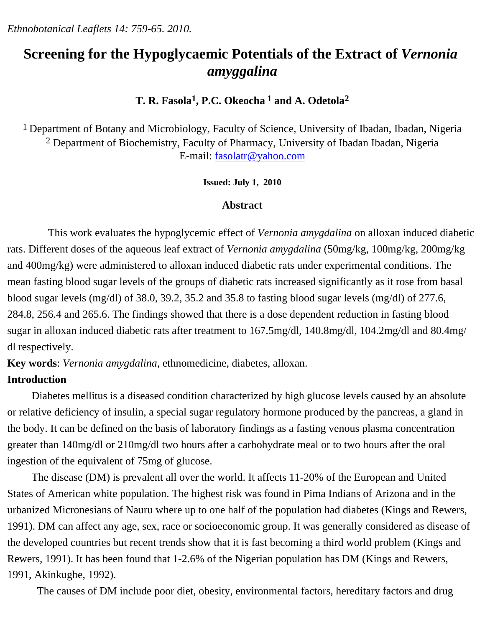*Ethnobotanical Leaflets 14: 759-65. 2010.*

# **Screening for the Hypoglycaemic Potentials of the Extract of** *Vernonia amyggalina*

**T. R. Fasola1, P.C. Okeocha 1 and A. Odetola2**

1 Department of Botany and Microbiology, Faculty of Science, University of Ibadan, Ibadan, Nigeria <sup>2</sup> Department of Biochemistry, Faculty of Pharmacy, University of Ibadan Ibadan, Nigeria E-mail: [fasolatr@yahoo.com](mailto:fasolatr@yahoo.com)

### **Issued: July 1, 2010**

### **Abstract**

This work evaluates the hypoglycemic effect of *Vernonia amygdalina* on alloxan induced diabetic rats. Different doses of the aqueous leaf extract of *Vernonia amygdalina* (50mg/kg, 100mg/kg, 200mg/kg and 400mg/kg) were administered to alloxan induced diabetic rats under experimental conditions. The mean fasting blood sugar levels of the groups of diabetic rats increased significantly as it rose from basal blood sugar levels (mg/dl) of 38.0, 39.2, 35.2 and 35.8 to fasting blood sugar levels (mg/dl) of 277.6, 284.8, 256.4 and 265.6. The findings showed that there is a dose dependent reduction in fasting blood sugar in alloxan induced diabetic rats after treatment to 167.5mg/dl, 140.8mg/dl, 104.2mg/dl and 80.4mg/ dl respectively.

**Key words**: *Vernonia amygdalina*, ethnomedicine, diabetes, alloxan.

# **Introduction**

 Diabetes mellitus is a diseased condition characterized by high glucose levels caused by an absolute or relative deficiency of insulin, a special sugar regulatory hormone produced by the pancreas, a gland in the body. It can be defined on the basis of laboratory findings as a fasting venous plasma concentration greater than 140mg/dl or 210mg/dl two hours after a carbohydrate meal or to two hours after the oral ingestion of the equivalent of 75mg of glucose.

 The disease (DM) is prevalent all over the world. It affects 11-20% of the European and United States of American white population. The highest risk was found in Pima Indians of Arizona and in the urbanized Micronesians of Nauru where up to one half of the population had diabetes (Kings and Rewers, 1991). DM can affect any age, sex, race or socioeconomic group. It was generally considered as disease of the developed countries but recent trends show that it is fast becoming a third world problem (Kings and Rewers, 1991). It has been found that 1-2.6% of the Nigerian population has DM (Kings and Rewers, 1991, Akinkugbe, 1992).

The causes of DM include poor diet, obesity, environmental factors, hereditary factors and drug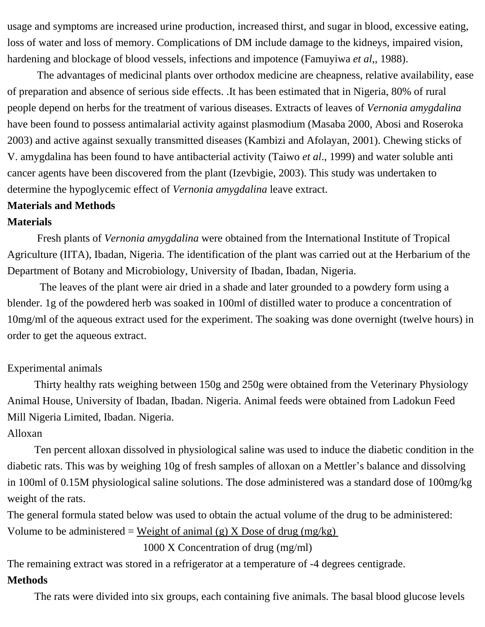usage and symptoms are increased urine production, increased thirst, and sugar in blood, excessive eating, loss of water and loss of memory. Complications of DM include damage to the kidneys, impaired vision, hardening and blockage of blood vessels, infections and impotence (Famuyiwa *et al*,, 1988).

 The advantages of medicinal plants over orthodox medicine are cheapness, relative availability, ease of preparation and absence of serious side effects. .It has been estimated that in Nigeria, 80% of rural people depend on herbs for the treatment of various diseases. Extracts of leaves of *Vernonia amygdalina* have been found to possess antimalarial activity against plasmodium (Masaba 2000, Abosi and Roseroka 2003) and active against sexually transmitted diseases (Kambizi and Afolayan, 2001). Chewing sticks of V. amygdalina has been found to have antibacterial activity (Taiwo *et al*., 1999) and water soluble anti cancer agents have been discovered from the plant (Izevbigie, 2003). This study was undertaken to determine the hypoglycemic effect of *Vernonia amygdalina* leave extract.

## **Materials and Methods**

#### **Materials**

 Fresh plants of *Vernonia amygdalina* were obtained from the International Institute of Tropical Agriculture (IITA), Ibadan, Nigeria. The identification of the plant was carried out at the Herbarium of the Department of Botany and Microbiology, University of Ibadan, Ibadan, Nigeria.

 The leaves of the plant were air dried in a shade and later grounded to a powdery form using a blender. 1g of the powdered herb was soaked in 100ml of distilled water to produce a concentration of 10mg/ml of the aqueous extract used for the experiment. The soaking was done overnight (twelve hours) in order to get the aqueous extract.

### Experimental animals

 Thirty healthy rats weighing between 150g and 250g were obtained from the Veterinary Physiology Animal House, University of Ibadan, Ibadan. Nigeria. Animal feeds were obtained from Ladokun Feed Mill Nigeria Limited, Ibadan. Nigeria.

## Alloxan

 Ten percent alloxan dissolved in physiological saline was used to induce the diabetic condition in the diabetic rats. This was by weighing 10g of fresh samples of alloxan on a Mettler's balance and dissolving in 100ml of 0.15M physiological saline solutions. The dose administered was a standard dose of 100mg/kg weight of the rats.

The general formula stated below was used to obtain the actual volume of the drug to be administered: Volume to be administered = Weight of animal (g) X Dose of drug (mg/kg)

1000 X Concentration of drug (mg/ml)

The remaining extract was stored in a refrigerator at a temperature of -4 degrees centigrade.

### **Methods**

The rats were divided into six groups, each containing five animals. The basal blood glucose levels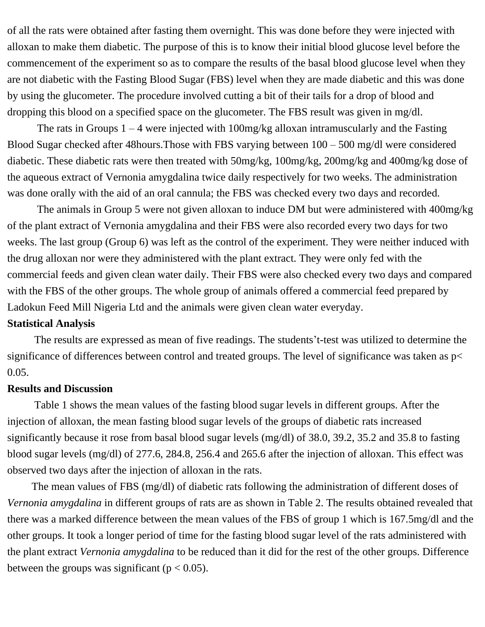of all the rats were obtained after fasting them overnight. This was done before they were injected with alloxan to make them diabetic. The purpose of this is to know their initial blood glucose level before the commencement of the experiment so as to compare the results of the basal blood glucose level when they are not diabetic with the Fasting Blood Sugar (FBS) level when they are made diabetic and this was done by using the glucometer. The procedure involved cutting a bit of their tails for a drop of blood and dropping this blood on a specified space on the glucometer. The FBS result was given in mg/dl.

The rats in Groups  $1 - 4$  were injected with 100mg/kg alloxan intramuscularly and the Fasting Blood Sugar checked after 48hours.Those with FBS varying between 100 – 500 mg/dl were considered diabetic. These diabetic rats were then treated with 50mg/kg, 100mg/kg, 200mg/kg and 400mg/kg dose of the aqueous extract of Vernonia amygdalina twice daily respectively for two weeks. The administration was done orally with the aid of an oral cannula; the FBS was checked every two days and recorded.

 The animals in Group 5 were not given alloxan to induce DM but were administered with 400mg/kg of the plant extract of Vernonia amygdalina and their FBS were also recorded every two days for two weeks. The last group (Group 6) was left as the control of the experiment. They were neither induced with the drug alloxan nor were they administered with the plant extract. They were only fed with the commercial feeds and given clean water daily. Their FBS were also checked every two days and compared with the FBS of the other groups. The whole group of animals offered a commercial feed prepared by Ladokun Feed Mill Nigeria Ltd and the animals were given clean water everyday.

#### **Statistical Analysis**

 The results are expressed as mean of five readings. The students't-test was utilized to determine the significance of differences between control and treated groups. The level of significance was taken as  $p<$ 0.05.

### **Results and Discussion**

 Table 1 shows the mean values of the fasting blood sugar levels in different groups. After the injection of alloxan, the mean fasting blood sugar levels of the groups of diabetic rats increased significantly because it rose from basal blood sugar levels (mg/dl) of 38.0, 39.2, 35.2 and 35.8 to fasting blood sugar levels (mg/dl) of 277.6, 284.8, 256.4 and 265.6 after the injection of alloxan. This effect was observed two days after the injection of alloxan in the rats.

 The mean values of FBS (mg/dl) of diabetic rats following the administration of different doses of *Vernonia amygdalina* in different groups of rats are as shown in Table 2. The results obtained revealed that there was a marked difference between the mean values of the FBS of group 1 which is 167.5mg/dl and the other groups. It took a longer period of time for the fasting blood sugar level of the rats administered with the plant extract *Vernonia amygdalina* to be reduced than it did for the rest of the other groups. Difference between the groups was significant ( $p < 0.05$ ).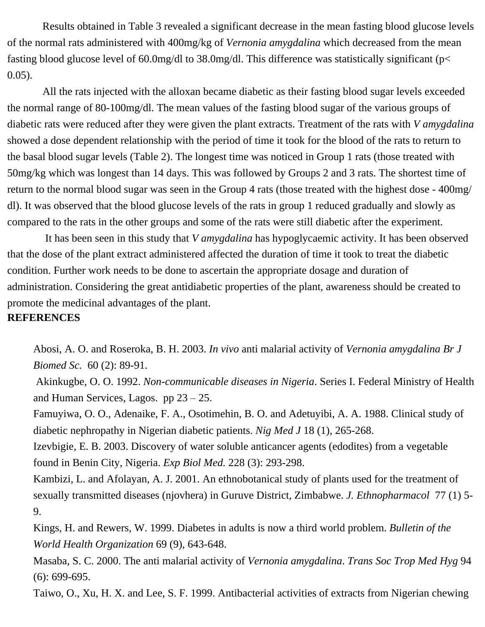Results obtained in Table 3 revealed a significant decrease in the mean fasting blood glucose levels of the normal rats administered with 400mg/kg of *Vernonia amygdalina* which decreased from the mean fasting blood glucose level of 60.0mg/dl to 38.0mg/dl. This difference was statistically significant (p< 0.05).

 All the rats injected with the alloxan became diabetic as their fasting blood sugar levels exceeded the normal range of 80-100mg/dl. The mean values of the fasting blood sugar of the various groups of diabetic rats were reduced after they were given the plant extracts. Treatment of the rats with *V amygdalina* showed a dose dependent relationship with the period of time it took for the blood of the rats to return to the basal blood sugar levels (Table 2). The longest time was noticed in Group 1 rats (those treated with 50mg/kg which was longest than 14 days. This was followed by Groups 2 and 3 rats. The shortest time of return to the normal blood sugar was seen in the Group 4 rats (those treated with the highest dose - 400mg/ dl). It was observed that the blood glucose levels of the rats in group 1 reduced gradually and slowly as compared to the rats in the other groups and some of the rats were still diabetic after the experiment.

 It has been seen in this study that *V amygdalina* has hypoglycaemic activity. It has been observed that the dose of the plant extract administered affected the duration of time it took to treat the diabetic condition. Further work needs to be done to ascertain the appropriate dosage and duration of administration. Considering the great antidiabetic properties of the plant, awareness should be created to promote the medicinal advantages of the plant.

## **REFERENCES**

Abosi, A. O. and Roseroka, B. H. 2003. *In vivo* anti malarial activity of *Vernonia amygdalina Br J Biomed Sc.* 60 (2): 89-91.

 Akinkugbe, O. O. 1992. *Non-communicable diseases in Nigeria*. Series I. Federal Ministry of Health and Human Services, Lagos. pp 23 – 25.

Famuyiwa, O. O., Adenaike, F. A., Osotimehin, B. O. and Adetuyibi, A. A. 1988. Clinical study of diabetic nephropathy in Nigerian diabetic patients. *Nig Med J* 18 (1), 265-268.

Izevbigie, E. B. 2003. Discovery of water soluble anticancer agents (edodites) from a vegetable found in Benin City, Nigeria. *Exp Biol Med.* 228 (3): 293-298.

Kambizi, L. and Afolayan, A. J. 2001. An ethnobotanical study of plants used for the treatment of sexually transmitted diseases (njovhera) in Guruve District, Zimbabwe. *J. Ethnopharmacol* 77 (1) 5- 9.

Kings, H. and Rewers, W. 1999. Diabetes in adults is now a third world problem. *Bulletin of the World Health Organization* 69 (9), 643-648.

Masaba, S. C. 2000. The anti malarial activity of *Vernonia amygdalina*. *Trans Soc Trop Med Hyg* 94 (6): 699-695.

Taiwo, O., Xu, H. X. and Lee, S. F. 1999. Antibacterial activities of extracts from Nigerian chewing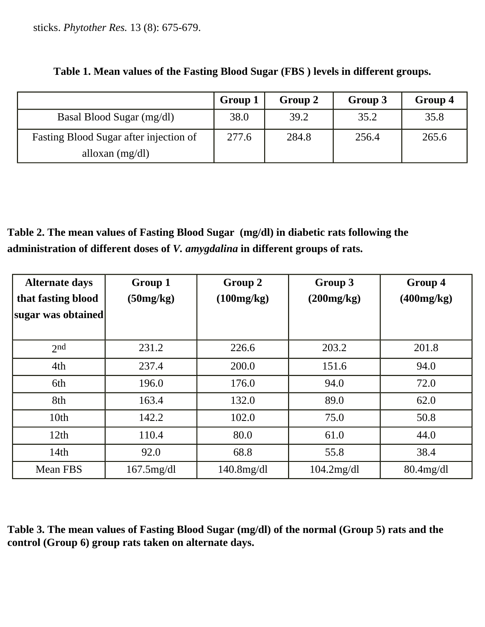sticks. *Phytother Res.* 13 (8): 675-679.

|                                        | Group 1 | Group 2 | Group 3 | Group 4 |
|----------------------------------------|---------|---------|---------|---------|
| Basal Blood Sugar (mg/dl)              | 38.0    | 39.2    | 35.2    | 35.8    |
| Fasting Blood Sugar after injection of | 277.6   | 284.8   | 256.4   | 265.6   |
| alloxan $(mg/dl)$                      |         |         |         |         |

| Table 1. Mean values of the Fasting Blood Sugar (FBS) levels in different groups. |  |  |
|-----------------------------------------------------------------------------------|--|--|
|                                                                                   |  |  |

**Table 2. The mean values of Fasting Blood Sugar (mg/dl) in diabetic rats following the administration of different doses of** *V. amygdalina* **in different groups of rats.**

| <b>Alternate days</b><br>that fasting blood | Group 1<br>(50mg/kg) | Group 2<br>(100mg/kg) | Group 3<br>(200mg/kg) | Group 4<br>(400mg/kg) |
|---------------------------------------------|----------------------|-----------------------|-----------------------|-----------------------|
| sugar was obtained                          |                      |                       |                       |                       |
| 2nd                                         | 231.2                | 226.6                 | 203.2                 | 201.8                 |
| 4th                                         | 237.4                | 200.0                 | 151.6                 | 94.0                  |
| 6th                                         | 196.0                | 176.0                 | 94.0                  | 72.0                  |
| 8th                                         | 163.4                | 132.0                 | 89.0                  | 62.0                  |
| 10 <sub>th</sub>                            | 142.2                | 102.0                 | 75.0                  | 50.8                  |
| 12th                                        | 110.4                | 80.0                  | 61.0                  | 44.0                  |
| 14th                                        | 92.0                 | 68.8                  | 55.8                  | 38.4                  |
| Mean FBS                                    | $167.5$ mg/dl        | $140.8$ mg/dl         | $104.2$ mg/dl         | $80.4$ mg/dl          |

**Table 3. The mean values of Fasting Blood Sugar (mg/dl) of the normal (Group 5) rats and the control (Group 6) group rats taken on alternate days.**